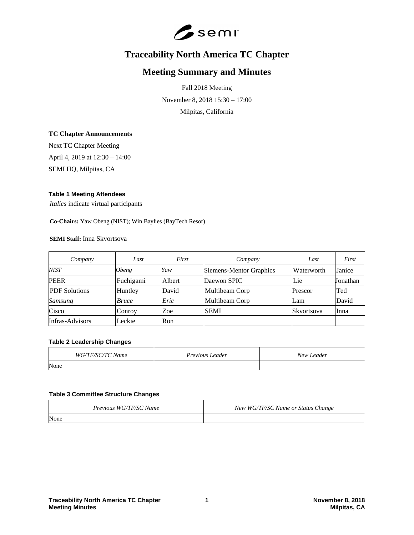

# **Traceability North America TC Chapter**

## **Meeting Summary and Minutes**

Fall 2018 Meeting November 8, 2018 15:30 – 17:00 Milpitas, California

#### **TC Chapter Announcements**

Next TC Chapter Meeting April 4, 2019 at 12:30 – 14:00 SEMI HQ, Milpitas, CA

#### **Table 1 Meeting Attendees**

*Italics* indicate virtual participants

**Co-Chairs:** Yaw Obeng (NIST); Win Baylies (BayTech Resor)

## **SEMI Staff:** Inna Skvortsova

| Company                | Last                | First  | Company                 | Last       | First    |
|------------------------|---------------------|--------|-------------------------|------------|----------|
| NIST                   | <i><b>Obeng</b></i> | Yaw    | Siemens-Mentor Graphics | Waterworth | Janice   |
| <b>PEER</b>            | Fuchigami           | Albert | Daewon SPIC             | Lie        | Jonathan |
| <b>PDF</b> Solutions   | Huntley             | David  | Multibeam Corp          | Prescor    | Ted      |
| <b>Samsung</b>         | <i>Bruce</i>        | Eric   | Multibeam Corp          | Lam        | David    |
| Cisco                  | Conroy              | Zoe    | <b>SEMI</b>             | Skvortsova | Inna     |
| <b>Infras-Advisors</b> | Leckie              | Ron    |                         |            |          |

#### **Table 2 Leadership Changes**

| WG/TF/SC/TC Name | Previous Leader | New Leader |
|------------------|-----------------|------------|
| None             |                 |            |

#### **Table 3 Committee Structure Changes**

| Previous WG/TF/SC Name | New WG/TF/SC Name or Status Change |  |
|------------------------|------------------------------------|--|
| None                   |                                    |  |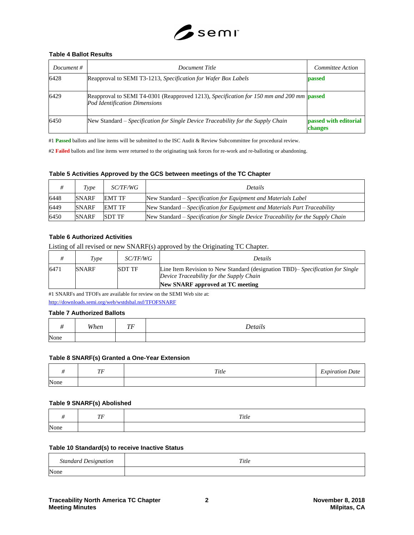

#### **Table 4 Ballot Results**

| Document # | Document Title                                                                                                            | Committee Action                 |
|------------|---------------------------------------------------------------------------------------------------------------------------|----------------------------------|
| 6428       | Reapproval to SEMI T3-1213, Specification for Wafer Box Labels                                                            | <b>passed</b>                    |
| 6429       | Reapproval to SEMI T4-0301 (Reapproved 1213), Specification for 150 mm and 200 mm passed<br>Pod Identification Dimensions |                                  |
| 6450       | New Standard – Specification for Single Device Traceability for the Supply Chain                                          | passed with editorial<br>changes |

#1 **Passed** ballots and line items will be submitted to the ISC Audit & Review Subcommittee for procedural review.

#2 **Failed** ballots and line items were returned to the originating task forces for re-work and re-balloting or abandoning.

#### **Table 5 Activities Approved by the GCS between meetings of the TC Chapter**

|      | Type         | <i>SC/TF/WG</i> | <b>Details</b>                                                                   |
|------|--------------|-----------------|----------------------------------------------------------------------------------|
| 6448 | <b>SNARF</b> | <b>EMT TF</b>   | New Standard – Specification for Equipment and Materials Label                   |
| 6449 | <b>SNARF</b> | EMT TF          | New Standard – Specification for Equipment and Materials Part Traceability       |
| 6450 | <b>SNARF</b> | <b>SDT TF</b>   | New Standard – Specification for Single Device Traceability for the Supply Chain |

#### **Table 6 Authorized Activities**

Listing of all revised or new SNARF(s) approved by the Originating TC Chapter.

|      | <i>Type</i>  | <i>SC/TF/WG</i> | Details                                                                                                                                                        |
|------|--------------|-----------------|----------------------------------------------------------------------------------------------------------------------------------------------------------------|
| 6471 | <b>SNARF</b> | <b>SDT TF</b>   | Line Item Revision to New Standard (designation TBD)– Specification for Single<br>Device Traceability for the Supply Chain<br>New SNARF approved at TC meeting |

#1 SNARFs and TFOFs are available for review on the SEMI Web site at: <http://downloads.semi.org/web/wstdsbal.nsf/TFOFSNARF>

## **Table 7 Authorized Ballots**

|      | When | TTT<br>. . | Details |
|------|------|------------|---------|
| None |      |            |         |

#### **Table 8 SNARF(s) Granted a One-Year Extension**

|      | $\tau\tau$<br>. . | Title | $\overline{\phantom{a}}$<br><i><b>Expiration Date</b></i> |
|------|-------------------|-------|-----------------------------------------------------------|
| None |                   |       |                                                           |

#### **Table 9 SNARF(s) Abolished**

|      | $\tau\tau$<br>11 | Title |
|------|------------------|-------|
| None |                  |       |

#### **Table 10 Standard(s) to receive Inactive Status**

| <b>Standard Designation</b> | Title |
|-----------------------------|-------|
| None                        |       |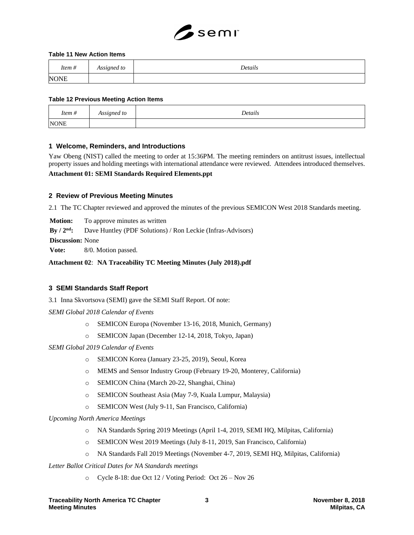

#### **Table 11 New Action Items**

| $\overline{11}$<br>ftem # | Assigned to | Details |
|---------------------------|-------------|---------|
| <b>NONE</b>               |             |         |

#### **Table 12 Previous Meeting Action Items**

| $\overline{\phantom{a}}$<br>Item $#$ | Assigned to | Details |
|--------------------------------------|-------------|---------|
| <b>NONE</b>                          |             |         |

#### **1 Welcome, Reminders, and Introductions**

Yaw Obeng (NIST) called the meeting to order at 15:36PM. The meeting reminders on antitrust issues, intellectual property issues and holding meetings with international attendance were reviewed. Attendees introduced themselves.

#### **Attachment 01: SEMI Standards Required Elements.ppt**

#### **2 Review of Previous Meeting Minutes**

2.1 The TC Chapter reviewed and approved the minutes of the previous SEMICON West 2018 Standards meeting.

**Motion:** To approve minutes as written

**By / 2nd:** Dave Huntley (PDF Solutions) / Ron Leckie (Infras-Advisors)

**Discussion:** None

**Vote:** 8/0. Motion passed.

#### **Attachment 02**: **NA Traceability TC Meeting Minutes (July 2018).pdf**

#### **3 SEMI Standards Staff Report**

3.1 Inna Skvortsova (SEMI) gave the SEMI Staff Report. Of note:

*SEMI Global 2018 Calendar of Events*

- o SEMICON Europa (November 13-16, 2018, Munich, Germany)
- o SEMICON Japan (December 12-14, 2018, Tokyo, Japan)

*SEMI Global 2019 Calendar of Events*

- o SEMICON Korea (January 23-25, 2019), Seoul, Korea
- o MEMS and Sensor Industry Group (February 19-20, Monterey, California)
- o SEMICON China (March 20-22, Shanghai, China)
- o SEMICON Southeast Asia (May 7-9, Kuala Lumpur, Malaysia)
- o SEMICON West (July 9-11, San Francisco, California)

*Upcoming North America Meetings* 

- o NA Standards Spring 2019 Meetings (April 1-4, 2019, SEMI HQ, Milpitas, California)
- o SEMICON West 2019 Meetings (July 8-11, 2019, San Francisco, California)
- o NA Standards Fall 2019 Meetings (November 4-7, 2019, SEMI HQ, Milpitas, California)

*Letter Ballot Critical Dates for NA Standards meetings*

o Cycle 8-18: due Oct 12 / Voting Period: Oct 26 – Nov 26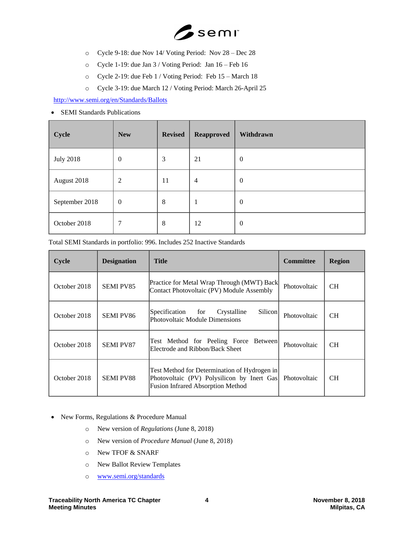

- o Cycle 9-18: due Nov 14/ Voting Period: Nov 28 Dec 28
- o Cycle 1-19: due Jan 3 / Voting Period: Jan 16 Feb 16
- o Cycle 2-19: due Feb 1 / Voting Period: Feb 15 March 18
- o Cycle 3-19: due March 12 / Voting Period: March 26-April 25

<http://www.semi.org/en/Standards/Ballots>

• SEMI Standards Publications

| Cycle            | <b>New</b>       | <b>Revised</b> | <b>Reapproved</b> | Withdrawn        |
|------------------|------------------|----------------|-------------------|------------------|
| <b>July 2018</b> | $\boldsymbol{0}$ | 3              | 21                | $\boldsymbol{0}$ |
| August 2018      | $\mathfrak{2}$   | 11             | 4                 | $\boldsymbol{0}$ |
| September 2018   | $\boldsymbol{0}$ | 8              | 1                 | $\boldsymbol{0}$ |
| October 2018     | 7                | 8              | 12                | $\boldsymbol{0}$ |

| Cycle        | <b>Designation</b> | <b>Title</b>                                                                                                                           | <b>Committee</b> | <b>Region</b> |
|--------------|--------------------|----------------------------------------------------------------------------------------------------------------------------------------|------------------|---------------|
| October 2018 | <b>SEMI PV85</b>   | Practice for Metal Wrap Through (MWT) Back<br>Contact Photovoltaic (PV) Module Assembly                                                | Photovoltaic     | <b>CH</b>     |
| October 2018 | <b>SEMI PV86</b>   | Specification<br>Silicon<br>for<br>Crystalline<br>Photovoltaic Module Dimensions                                                       | Photovoltaic     | <b>CH</b>     |
| October 2018 | <b>SEMI PV87</b>   | Test Method for Peeling Force Between<br>Electrode and Ribbon/Back Sheet                                                               | Photovoltaic     | <b>CH</b>     |
| October 2018 | <b>SEMI PV88</b>   | Test Method for Determination of Hydrogen in<br>Photovoltaic (PV) Polysilicon by Inert Gas<br><b>Fusion Infrared Absorption Method</b> | Photovoltaic     | CH.           |

Total SEMI Standards in portfolio: 996. Includes 252 Inactive Standards

- New Forms, Regulations & Procedure Manual
	- o New version of *Regulations* (June 8, 2018)
	- o New version of *Procedure Manual* (June 8, 2018)
	- o New TFOF & SNARF
	- o New Ballot Review Templates
	- o [www.semi.org/standards](http://www.semi.org/standards)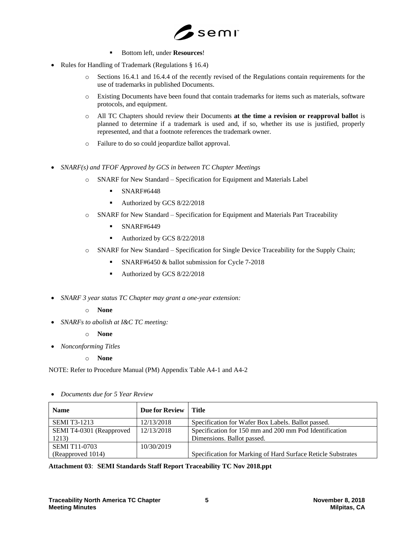

- Bottom left, under **Resources**!
- Rules for Handling of Trademark (Regulations § 16.4)
	- o Sections 16.4.1 and 16.4.4 of the recently revised of the Regulations contain requirements for the use of trademarks in published Documents.
	- o Existing Documents have been found that contain trademarks for items such as materials, software protocols, and equipment.
	- o All TC Chapters should review their Documents **at the time a revision or reapproval ballot** is planned to determine if a trademark is used and, if so, whether its use is justified, properly represented, and that a footnote references the trademark owner.
	- o Failure to do so could jeopardize ballot approval.
- *SNARF(s) and TFOF Approved by GCS in between TC Chapter Meetings*
	- o SNARF for New Standard Specification for Equipment and Materials Label
		- $\blacksquare$  SNARF#6448
		- Authorized by GCS 8/22/2018
	- o SNARF for New Standard Specification for Equipment and Materials Part Traceability
		- **■** SNARF#6449
		- Authorized by GCS 8/22/2018
	- o SNARF for New Standard Specification for Single Device Traceability for the Supply Chain;
		- SNARF#6450 & ballot submission for Cycle 7-2018
		- Authorized by GCS 8/22/2018
- *SNARF 3 year status TC Chapter may grant a one-year extension:*

## o **None**

- *SNARFs to abolish at I&C TC meeting:*
	- o **None**
- *Nonconforming Titles*
	- o **None**

NOTE: Refer to Procedure Manual (PM) Appendix Table A4-1 and A4-2

| Documents due for 5 Year Review<br>$\bullet$ |
|----------------------------------------------|
|----------------------------------------------|

| <b>Name</b>              | <b>Due for Review</b> | Title                                                        |
|--------------------------|-----------------------|--------------------------------------------------------------|
| <b>SEMI T3-1213</b>      | 12/13/2018            | Specification for Wafer Box Labels. Ballot passed.           |
| SEMI T4-0301 (Reapproved | 12/13/2018            | Specification for 150 mm and 200 mm Pod Identification       |
| 1213)                    |                       | Dimensions. Ballot passed.                                   |
| <b>SEMI T11-0703</b>     | 10/30/2019            |                                                              |
| (Reapproved 1014)        |                       | Specification for Marking of Hard Surface Reticle Substrates |

## **Attachment 03**: **SEMI Standards Staff Report Traceability TC Nov 2018.ppt**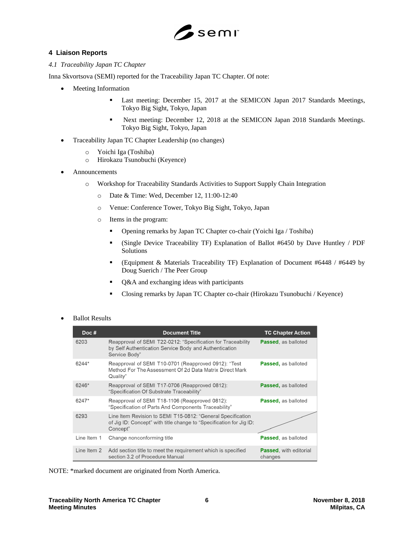

## **4 Liaison Reports**

#### *4.1 Traceability Japan TC Chapter*

Inna Skvortsova (SEMI) reported for the Traceability Japan TC Chapter. Of note:

- Meeting Information
	- **•** Last meeting: December 15, 2017 at the SEMICON Japan 2017 Standards Meetings, Tokyo Big Sight, Tokyo, Japan
	- Next meeting: December 12, 2018 at the SEMICON Japan 2018 Standards Meetings. Tokyo Big Sight, Tokyo, Japan
- Traceability Japan TC Chapter Leadership (no changes)
	- o Yoichi Iga (Toshiba)
	- o Hirokazu Tsunobuchi (Keyence)
- **Announcements** 
	- o Workshop for Traceability Standards Activities to Support Supply Chain Integration
		- o Date & Time: Wed, December 12, 11:00-12:40
		- o Venue: Conference Tower, Tokyo Big Sight, Tokyo, Japan
		- o Items in the program:
			- Opening remarks by Japan TC Chapter co-chair (Yoichi Iga / Toshiba)
			- (Single Device Traceability TF) Explanation of Ballot #6450 by Dave Huntley / PDF Solutions
			- (Equipment & Materials Traceability TF) Explanation of Document #6448 / #6449 by Doug Suerich / The Peer Group
			- Q&A and exchanging ideas with participants
			- Closing remarks by Japan TC Chapter co-chair (Hirokazu Tsunobuchi / Keyence)

#### • Ballot Results

| Doc#        | <b>Document Title</b>                                                                                                                          | <b>TC Chapter Action</b>                  |
|-------------|------------------------------------------------------------------------------------------------------------------------------------------------|-------------------------------------------|
| 6203        | Reapproval of SEMI T22-0212: "Specification for Traceability<br>by Self Authentication Service Body and Authentication<br>Service Body"        | <b>Passed.</b> as balloted                |
| 6244*       | Reapproval of SEMI T10-0701 (Reapproved 0912): "Test<br>Method For The Assessment Of 2d Data Matrix Direct Mark<br>Quality"                    | <b>Passed, as balloted</b>                |
| 6246*       | Reapproval of SEMI T17-0706 (Reapproved 0812):<br>"Specification Of Substrate Traceability"                                                    | <b>Passed, as balloted</b>                |
| 6247*       | Reapproval of SEMI T18-1106 (Reapproved 0812):<br>"Specification of Parts And Components Traceability"                                         | <b>Passed, as balloted</b>                |
| 6293        | Line Item Revision to SEMI T15-0812: "General Specification<br>of Jig ID: Concept" with title change to "Specification for Jig ID:<br>Concept" |                                           |
| Line Item 1 | Change nonconforming title                                                                                                                     | <b>Passed, as balloted</b>                |
| Line Item 2 | Add section title to meet the requirement which is specified<br>section 3.2 of Procedure Manual                                                | <b>Passed</b> , with editorial<br>changes |

NOTE: \*marked document are originated from North America.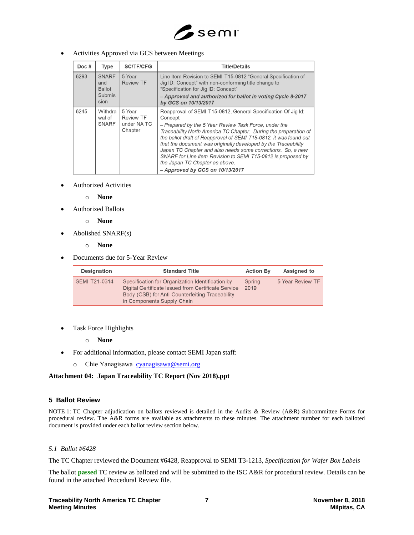

## • Activities Approved via GCS between Meetings

| Doc# | Type                                                   | <b>SC/TF/CFG</b>                                     | <b>Title/Details</b>                                                                                                                                                                                                                                                                                                                                                                                                                                                                                                                               |
|------|--------------------------------------------------------|------------------------------------------------------|----------------------------------------------------------------------------------------------------------------------------------------------------------------------------------------------------------------------------------------------------------------------------------------------------------------------------------------------------------------------------------------------------------------------------------------------------------------------------------------------------------------------------------------------------|
| 6293 | <b>SNARF</b><br>and<br><b>Ballot</b><br>Submis<br>sion | 5 Year<br><b>Review TF</b>                           | Line Item Revision to SEMI T15-0812 "General Specification of<br>Jig ID: Concept" with non-conforming title change to<br>"Specification for Jig ID: Concept"<br>- Approved and authorized for ballot in voting Cycle 8-2017<br>by GCS on 10/13/2017                                                                                                                                                                                                                                                                                                |
| 6245 | Withdra<br>wal of<br><b>SNARF</b>                      | 5 Year<br><b>Review TF</b><br>under NA TC<br>Chapter | Reapproval of SEMI T15-0812, General Specification Of Jig Id:<br>Concept<br>- Prepared by the 5 Year Review Task Force, under the<br>Traceability North America TC Chapter. During the preparation of<br>the ballot draft of Reapproval of SEMI T15-0812, it was found out<br>that the document was originally developed by the Traceability<br>Japan TC Chapter and also needs some corrections. So, a new<br>SNARF for Line Item Revision to SEMI T15-0812 is proposed by<br>the Japan TC Chapter as above.<br>$-$ Approved by GCS on 10/13/2017 |

- Authorized Activities
	- o **None**
- Authorized Ballots
	- o **None**
- Abolished SNARF(s)
	- o **None**
- Documents due for 5-Year Review

| <b>Designation</b>   | <b>Standard Title</b>                                                                                                                                                                    | <b>Action By</b> | Assigned to      |
|----------------------|------------------------------------------------------------------------------------------------------------------------------------------------------------------------------------------|------------------|------------------|
| <b>SEMI T21-0314</b> | Specification for Organization Identification by<br>Digital Certificate Issued from Certificate Service<br>Body (CSB) for Anti-Counterfeiting Traceability<br>in Components Supply Chain | Spring<br>2019   | 5 Year Review TF |

• Task Force Highlights

o **None**

- For additional information, please contact SEMI Japan staff:
	- o Chie Yanagisawa [cyanagisawa@semi.org](mailto:cyanagisawa@semi.org)

## **Attachment 04: Japan Traceability TC Report (Nov 2018).ppt**

## **5 Ballot Review**

NOTE 1: TC Chapter adjudication on ballots reviewed is detailed in the Audits & Review (A&R) Subcommittee Forms for procedural review. The A&R forms are available as attachments to these minutes. The attachment number for each balloted document is provided under each ballot review section below.

#### *5.1 Ballot #6428*

The TC Chapter reviewed the Document #6428, Reapproval to SEMI T3-1213, *Specification for Wafer Box Labels*

The ballot **passed** TC review as balloted and will be submitted to the ISC A&R for procedural review. Details can be found in the attached Procedural Review file.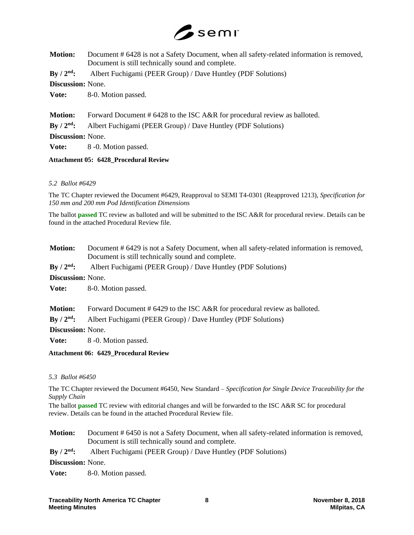

| <b>Motion:</b>                  | Document #6428 is not a Safety Document, when all safety-related information is removed,<br>Document is still technically sound and complete. |
|---------------------------------|-----------------------------------------------------------------------------------------------------------------------------------------------|
| By $/ 2nd$ :                    | Albert Fuchigami (PEER Group) / Dave Huntley (PDF Solutions)                                                                                  |
| <b>Discussion:</b> None.        |                                                                                                                                               |
| Vote:                           | 8-0. Motion passed.                                                                                                                           |
| <b>Motion:</b>                  | Forward Document # 6428 to the ISC A&R for procedural review as balloted.                                                                     |
| $\mathrm{By}/2^{\mathrm{nd}}$ : | Albert Fuchigami (PEER Group) / Dave Huntley (PDF Solutions)                                                                                  |
| <b>Discussion:</b> None.        |                                                                                                                                               |
| Vote:                           | 8 -0. Motion passed.                                                                                                                          |

## **Attachment 05: 6428\_Procedural Review**

## *5.2 Ballot #6429*

The TC Chapter reviewed the Document #6429, Reapproval to SEMI T4-0301 (Reapproved 1213), *Specification for 150 mm and 200 mm Pod Identification Dimensions*

The ballot **passed** TC review as balloted and will be submitted to the ISC A&R for procedural review. Details can be found in the attached Procedural Review file.

| <b>Motion:</b>                 | Document #6429 is not a Safety Document, when all safety-related information is removed,<br>Document is still technically sound and complete. |
|--------------------------------|-----------------------------------------------------------------------------------------------------------------------------------------------|
| $By / 2nd$ :                   | Albert Fuchigami (PEER Group) / Dave Huntley (PDF Solutions)                                                                                  |
| <b>Discussion:</b> None.       |                                                                                                                                               |
| Vote:                          | 8-0. Motion passed.                                                                                                                           |
| <b>Motion:</b><br>$By / 2nd$ : | Forward Document # 6429 to the ISC A&R for procedural review as balloted.<br>Albert Fuchigami (PEER Group) / Dave Huntley (PDF Solutions)     |

**Discussion:** None.

**Vote:** 8 -0. Motion passed.

## **Attachment 06: 6429\_Procedural Review**

## *5.3 Ballot #6450*

The TC Chapter reviewed the Document #6450, New Standard – *Specification for Single Device Traceability for the Supply Chain*

The ballot **passed** TC review with editorial changes and will be forwarded to the ISC A&R SC for procedural review. Details can be found in the attached Procedural Review file.

**Motion:** Document # 6450 is not a Safety Document, when all safety-related information is removed, Document is still technically sound and complete.

**By / 2nd:** Albert Fuchigami (PEER Group) / Dave Huntley (PDF Solutions)

**Discussion:** None.

**Vote:** 8-0. Motion passed.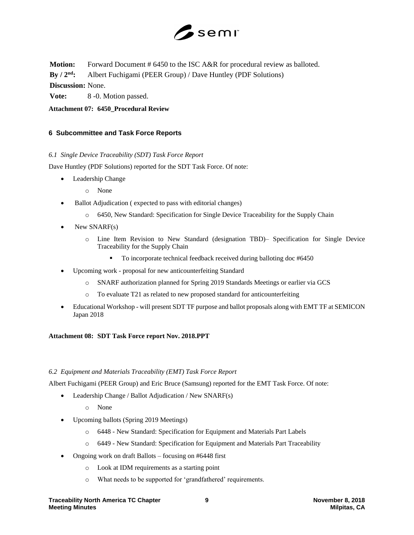

**Motion:** Forward Document # 6450 to the ISC A&R for procedural review as balloted.

**By / 2nd:** Albert Fuchigami (PEER Group) / Dave Huntley (PDF Solutions)

**Discussion:** None.

**Vote:** 8 -0. Motion passed.

**Attachment 07: 6450\_Procedural Review**

## **6 Subcommittee and Task Force Reports**

## *6.1 Single Device Traceability (SDT) Task Force Report*

Dave Huntley (PDF Solutions) reported for the SDT Task Force. Of note:

- Leadership Change
	- o None
- Ballot Adjudication (expected to pass with editorial changes)
	- o 6450, New Standard: Specification for Single Device Traceability for the Supply Chain
- New SNARF(s)
	- o Line Item Revision to New Standard (designation TBD)– Specification for Single Device Traceability for the Supply Chain
		- To incorporate technical feedback received during balloting doc #6450
- Upcoming work proposal for new anticounterfeiting Standard
	- o SNARF authorization planned for Spring 2019 Standards Meetings or earlier via GCS
	- o To evaluate T21 as related to new proposed standard for anticounterfeiting
- Educational Workshop will present SDT TF purpose and ballot proposals along with EMT TF at SEMICON Japan 2018

## **Attachment 08: SDT Task Force report Nov. 2018.PPT**

## *6.2 Equipment and Materials Traceability (EMT) Task Force Report*

Albert Fuchigami (PEER Group) and Eric Bruce (Samsung) reported for the EMT Task Force. Of note:

- Leadership Change / Ballot Adjudication / New SNARF(s)
	- o None
- Upcoming ballots (Spring 2019 Meetings)
	- o 6448 New Standard: Specification for Equipment and Materials Part Labels
	- o 6449 New Standard: Specification for Equipment and Materials Part Traceability
- Ongoing work on draft Ballots focusing on #6448 first
	- o Look at IDM requirements as a starting point
	- o What needs to be supported for 'grandfathered' requirements.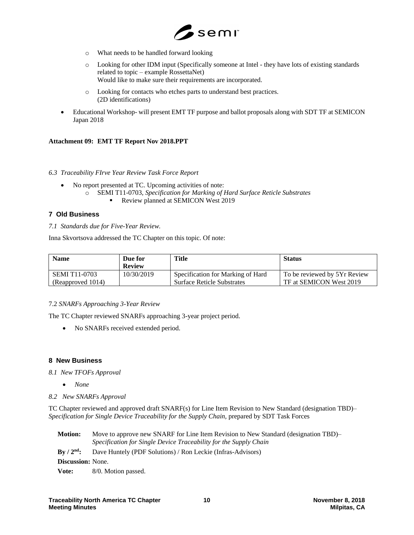

- o What needs to be handled forward looking
- o Looking for other IDM input (Specifically someone at Intel they have lots of existing standards related to topic – example RossettaNet) Would like to make sure their requirements are incorporated.
- o Looking for contacts who etches parts to understand best practices. (2D identifications)
- Educational Workshop- will present EMT TF purpose and ballot proposals along with SDT TF at SEMICON Japan 2018

## **Attachment 09: EMT TF Report Nov 2018.PPT**

## *6.3 Traceability FIrve Year Review Task Force Report*

- No report presented at TC. Upcoming activities of note:
	- o SEMI T11-0703*, Specification for Marking of Hard Surface Reticle Substrates*
		- **Review planned at SEMICON West 2019**

## **7 Old Business**

#### *7.1 Standards due for Five-Year Review.*

Inna Skvortsova addressed the TC Chapter on this topic. Of note:

| <b>Name</b>          | Due for<br>Review | Title                             | <b>Status</b>                |
|----------------------|-------------------|-----------------------------------|------------------------------|
| <b>SEMI T11-0703</b> | 10/30/2019        | Specification for Marking of Hard | To be reviewed by 5Yr Review |
| (Reapproved 1014)    |                   | <b>Surface Reticle Substrates</b> | TF at SEMICON West 2019      |

## 7.2 *SNARFs Approaching 3-Year Review*

The TC Chapter reviewed SNARFs approaching 3-year project period.

• No SNARFs received extended period.

## **8 New Business**

*8.1 New TFOFs Approval*

- *None*
- *8.2 New SNARFs Approval*

TC Chapter reviewed and approved draft SNARF(s) for Line Item Revision to New Standard (designation TBD)– *Specification for Single Device Traceability for the Supply Chain,* prepared by SDT Task Forces

| <b>Motion:</b>           | Move to approve new SNARF for Line Item Revision to New Standard (designation TBD)–<br>Specification for Single Device Traceability for the Supply Chain |
|--------------------------|----------------------------------------------------------------------------------------------------------------------------------------------------------|
| $\rm{Bv}/2^{\rm{nd}}$ :  | Dave Huntely (PDF Solutions) / Ron Leckie (Infras-Advisors)                                                                                              |
| <b>Discussion:</b> None. |                                                                                                                                                          |
| Vote:                    | 8/0. Motion passed.                                                                                                                                      |